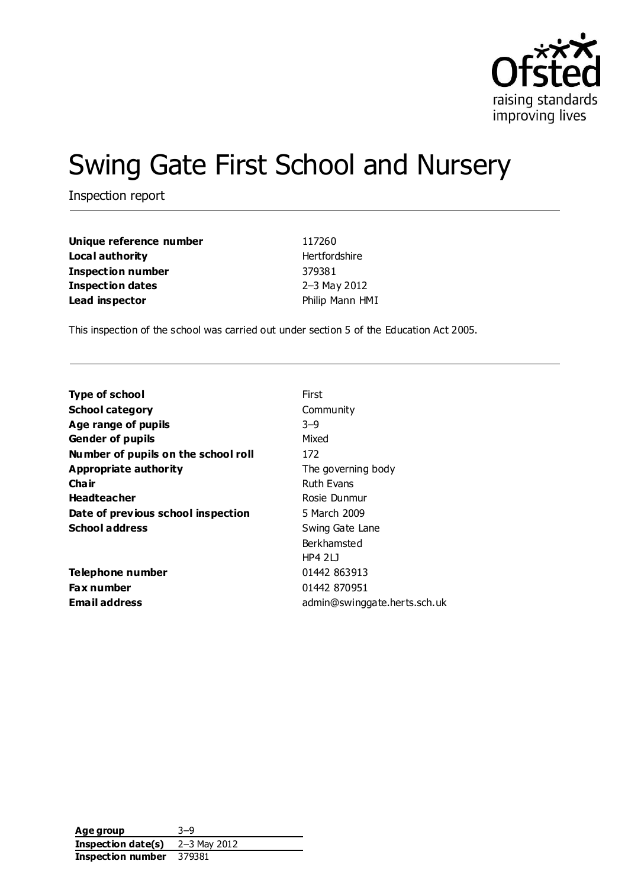

# Swing Gate First School and Nursery

Inspection report

| Unique reference number | 117260          |
|-------------------------|-----------------|
| Local authority         | Hertfordshire   |
| Inspection number       | 379381          |
| <b>Inspection dates</b> | 2-3 May 2012    |
| Lead inspector          | Philip Mann HMI |

This inspection of the school was carried out under section 5 of the Education Act 2005.

| First                        |
|------------------------------|
| Community                    |
| $3-9$                        |
| Mixed                        |
| 172                          |
| The governing body           |
| <b>Ruth Evans</b>            |
| Rosie Dunmur                 |
| 5 March 2009                 |
| Swing Gate Lane              |
| Berkhamsted                  |
| HP42L                        |
| 01442 863913                 |
| 01442 870951                 |
| admin@swinggate.herts.sch.uk |
|                              |

**Age group** 3–9 **Inspection date(s)** 2–3 May 2012 **Inspection number** 379381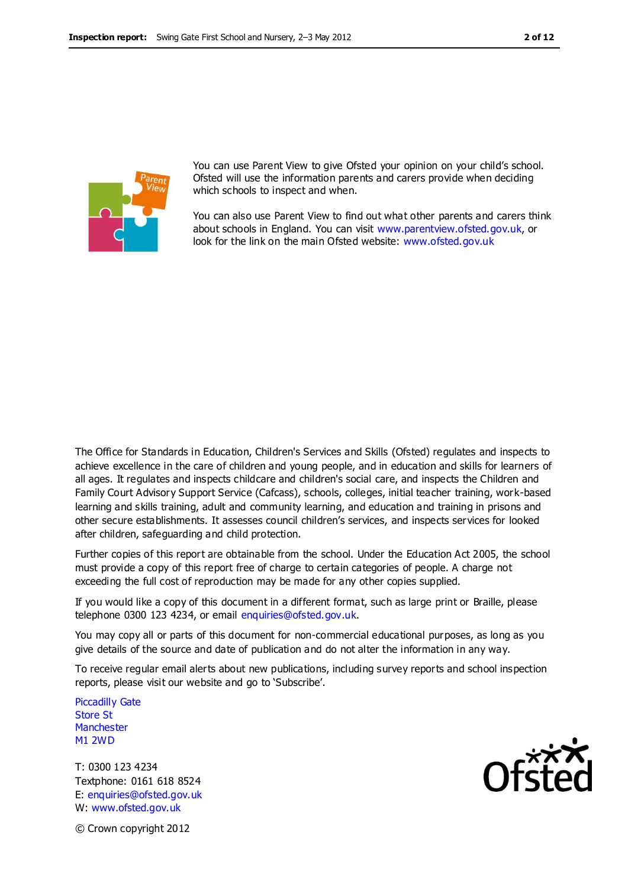

You can use Parent View to give Ofsted your opinion on your child's school. Ofsted will use the information parents and carers provide when deciding which schools to inspect and when.

You can also use Parent View to find out what other parents and carers think about schools in England. You can visit [www.parentview.ofsted.gov.uk,](http://www.parentview.ofsted.gov.uk/) or look for the link on the main Ofsted website: [www.ofsted.gov.uk](http://www.ofsted.gov.uk/)

The Office for Standards in Education, Children's Services and Skills (Ofsted) regulates and inspects to achieve excellence in the care of children and young people, and in education and skills for learners of all ages. It regulates and inspects childcare and children's social care, and inspects the Children and Family Court Advisory Support Service (Cafcass), schools, colleges, initial teacher training, work-based learning and skills training, adult and community learning, and education and training in prisons and other secure establishments. It assesses council children's services, and inspects services for looked after children, safeguarding and child protection.

Further copies of this report are obtainable from the school. Under the Education Act 2005, the school must provide a copy of this report free of charge to certain categories of people. A charge not exceeding the full cost of reproduction may be made for any other copies supplied.

If you would like a copy of this document in a different format, such as large print or Braille, please telephone 0300 123 4234, or email enquiries@ofsted.gov.uk.

You may copy all or parts of this document for non-commercial educational purposes, as long as you give details of the source and date of publication and do not alter the information in any way.

To receive regular email alerts about new publications, including survey reports and school inspection reports, please visit our website and go to 'Subscribe'.

Piccadilly Gate Store St **Manchester** M1 2WD

T: 0300 123 4234 Textphone: 0161 618 8524 E: enquiries@ofsted.gov.uk W: www.ofsted.gov.uk

© Crown copyright 2012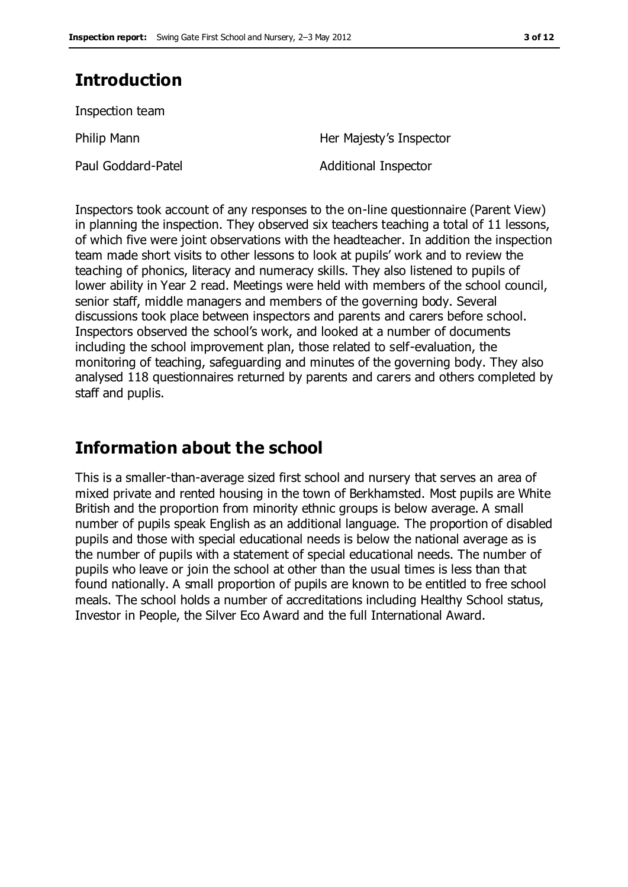# **Introduction**

Inspection team

Philip Mann **Her Majesty's Inspector** 

Paul Goddard-Patel **Additional Inspector** 

Inspectors took account of any responses to the on-line questionnaire (Parent View) in planning the inspection. They observed six teachers teaching a total of 11 lessons, of which five were joint observations with the headteacher. In addition the inspection team made short visits to other lessons to look at pupils' work and to review the teaching of phonics, literacy and numeracy skills. They also listened to pupils of lower ability in Year 2 read. Meetings were held with members of the school council, senior staff, middle managers and members of the governing body. Several discussions took place between inspectors and parents and carers before school. Inspectors observed the school's work, and looked at a number of documents including the school improvement plan, those related to self-evaluation, the monitoring of teaching, safeguarding and minutes of the governing body. They also analysed 118 questionnaires returned by parents and carers and others completed by staff and puplis.

# **Information about the school**

This is a smaller-than-average sized first school and nursery that serves an area of mixed private and rented housing in the town of Berkhamsted. Most pupils are White British and the proportion from minority ethnic groups is below average. A small number of pupils speak English as an additional language. The proportion of disabled pupils and those with special educational needs is below the national average as is the number of pupils with a statement of special educational needs. The number of pupils who leave or join the school at other than the usual times is less than that found nationally. A small proportion of pupils are known to be entitled to free school meals. The school holds a number of accreditations including Healthy School status, Investor in People, the Silver Eco Award and the full International Award.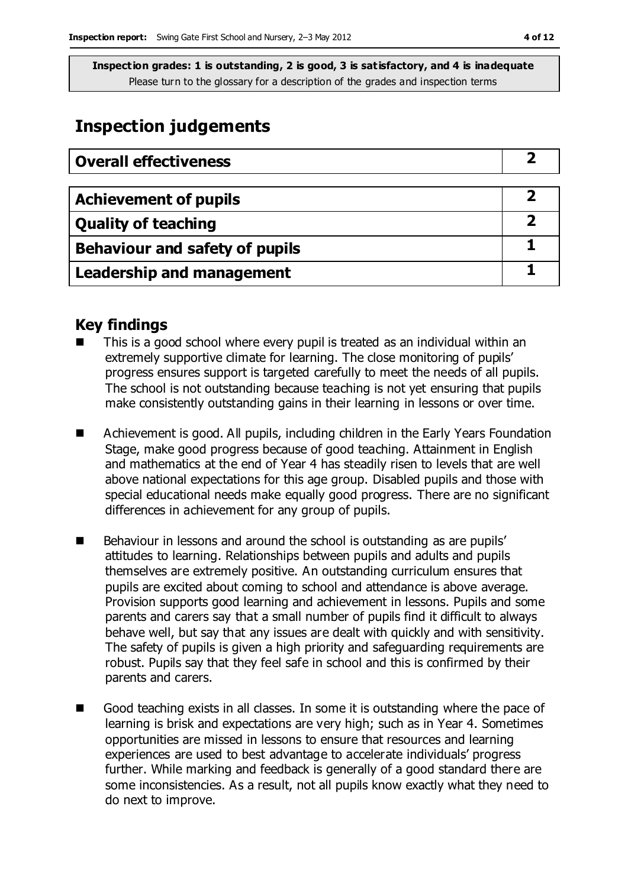## **Inspection judgements**

| <b>Overall effectiveness</b>          |  |
|---------------------------------------|--|
|                                       |  |
| <b>Achievement of pupils</b>          |  |
| <b>Quality of teaching</b>            |  |
| <b>Behaviour and safety of pupils</b> |  |
| <b>Leadership and management</b>      |  |

### **Key findings**

- This is a good school where every pupil is treated as an individual within an extremely supportive climate for learning. The close monitoring of pupils' progress ensures support is targeted carefully to meet the needs of all pupils. The school is not outstanding because teaching is not yet ensuring that pupils make consistently outstanding gains in their learning in lessons or over time.
- Achievement is good. All pupils, including children in the Early Years Foundation Stage, make good progress because of good teaching. Attainment in English and mathematics at the end of Year 4 has steadily risen to levels that are well above national expectations for this age group. Disabled pupils and those with special educational needs make equally good progress. There are no significant differences in achievement for any group of pupils.
- Behaviour in lessons and around the school is outstanding as are pupils' attitudes to learning. Relationships between pupils and adults and pupils themselves are extremely positive. An outstanding curriculum ensures that pupils are excited about coming to school and attendance is above average. Provision supports good learning and achievement in lessons. Pupils and some parents and carers say that a small number of pupils find it difficult to always behave well, but say that any issues are dealt with quickly and with sensitivity. The safety of pupils is given a high priority and safeguarding requirements are robust. Pupils say that they feel safe in school and this is confirmed by their parents and carers.
- Good teaching exists in all classes. In some it is outstanding where the pace of learning is brisk and expectations are very high; such as in Year 4. Sometimes opportunities are missed in lessons to ensure that resources and learning experiences are used to best advantage to accelerate individuals' progress further. While marking and feedback is generally of a good standard there are some inconsistencies. As a result, not all pupils know exactly what they need to do next to improve.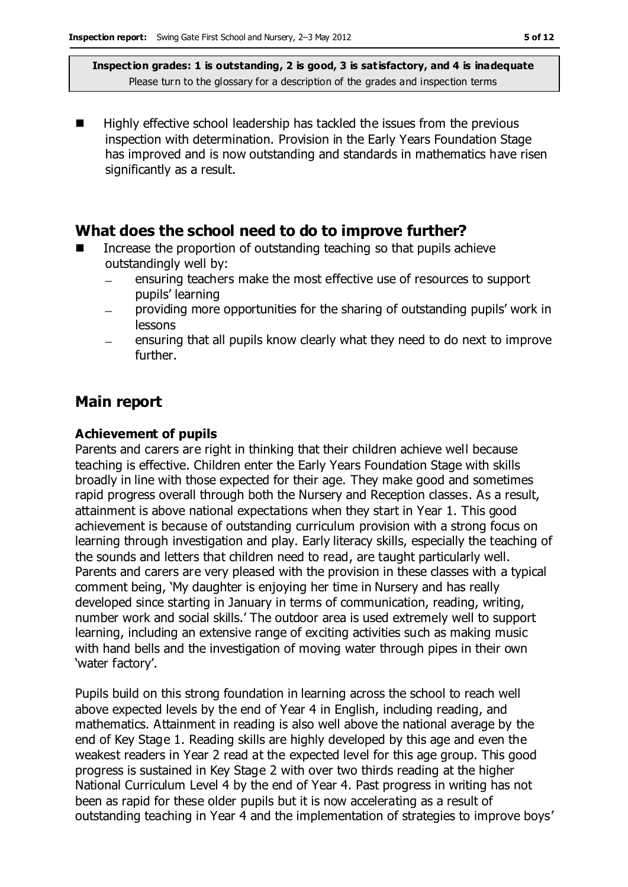Highly effective school leadership has tackled the issues from the previous inspection with determination. Provision in the Early Years Foundation Stage has improved and is now outstanding and standards in mathematics have risen significantly as a result.

### **What does the school need to do to improve further?**

- Increase the proportion of outstanding teaching so that pupils achieve outstandingly well by:
	- ensuring teachers make the most effective use of resources to support  $\equiv$ pupils' learning
	- providing more opportunities for the sharing of outstanding pupils' work in lessons
	- ensuring that all pupils know clearly what they need to do next to improve further.

### **Main report**

#### **Achievement of pupils**

Parents and carers are right in thinking that their children achieve well because teaching is effective. Children enter the Early Years Foundation Stage with skills broadly in line with those expected for their age. They make good and sometimes rapid progress overall through both the Nursery and Reception classes. As a result, attainment is above national expectations when they start in Year 1. This good achievement is because of outstanding curriculum provision with a strong focus on learning through investigation and play. Early literacy skills, especially the teaching of the sounds and letters that children need to read, are taught particularly well. Parents and carers are very pleased with the provision in these classes with a typical comment being, 'My daughter is enjoying her time in Nursery and has really developed since starting in January in terms of communication, reading, writing, number work and social skills.' The outdoor area is used extremely well to support learning, including an extensive range of exciting activities such as making music with hand bells and the investigation of moving water through pipes in their own 'water factory'.

Pupils build on this strong foundation in learning across the school to reach well above expected levels by the end of Year 4 in English, including reading, and mathematics. Attainment in reading is also well above the national average by the end of Key Stage 1. Reading skills are highly developed by this age and even the weakest readers in Year 2 read at the expected level for this age group. This good progress is sustained in Key Stage 2 with over two thirds reading at the higher National Curriculum Level 4 by the end of Year 4. Past progress in writing has not been as rapid for these older pupils but it is now accelerating as a result of outstanding teaching in Year 4 and the implementation of strategies to improve boys'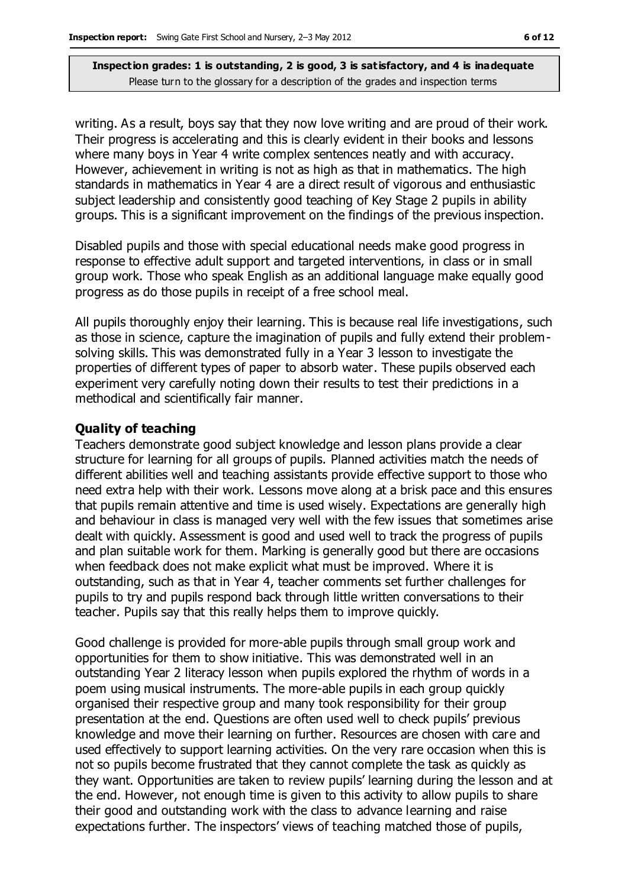writing. As a result, boys say that they now love writing and are proud of their work. Their progress is accelerating and this is clearly evident in their books and lessons where many boys in Year 4 write complex sentences neatly and with accuracy. However, achievement in writing is not as high as that in mathematics. The high standards in mathematics in Year 4 are a direct result of vigorous and enthusiastic subject leadership and consistently good teaching of Key Stage 2 pupils in ability groups. This is a significant improvement on the findings of the previous inspection.

Disabled pupils and those with special educational needs make good progress in response to effective adult support and targeted interventions, in class or in small group work. Those who speak English as an additional language make equally good progress as do those pupils in receipt of a free school meal.

All pupils thoroughly enjoy their learning. This is because real life investigations, such as those in science, capture the imagination of pupils and fully extend their problemsolving skills. This was demonstrated fully in a Year 3 lesson to investigate the properties of different types of paper to absorb water. These pupils observed each experiment very carefully noting down their results to test their predictions in a methodical and scientifically fair manner.

#### **Quality of teaching**

Teachers demonstrate good subject knowledge and lesson plans provide a clear structure for learning for all groups of pupils. Planned activities match the needs of different abilities well and teaching assistants provide effective support to those who need extra help with their work. Lessons move along at a brisk pace and this ensures that pupils remain attentive and time is used wisely. Expectations are generally high and behaviour in class is managed very well with the few issues that sometimes arise dealt with quickly. Assessment is good and used well to track the progress of pupils and plan suitable work for them. Marking is generally good but there are occasions when feedback does not make explicit what must be improved. Where it is outstanding, such as that in Year 4, teacher comments set further challenges for pupils to try and pupils respond back through little written conversations to their teacher. Pupils say that this really helps them to improve quickly.

Good challenge is provided for more-able pupils through small group work and opportunities for them to show initiative. This was demonstrated well in an outstanding Year 2 literacy lesson when pupils explored the rhythm of words in a poem using musical instruments. The more-able pupils in each group quickly organised their respective group and many took responsibility for their group presentation at the end. Questions are often used well to check pupils' previous knowledge and move their learning on further. Resources are chosen with care and used effectively to support learning activities. On the very rare occasion when this is not so pupils become frustrated that they cannot complete the task as quickly as they want. Opportunities are taken to review pupils' learning during the lesson and at the end. However, not enough time is given to this activity to allow pupils to share their good and outstanding work with the class to advance learning and raise expectations further. The inspectors' views of teaching matched those of pupils,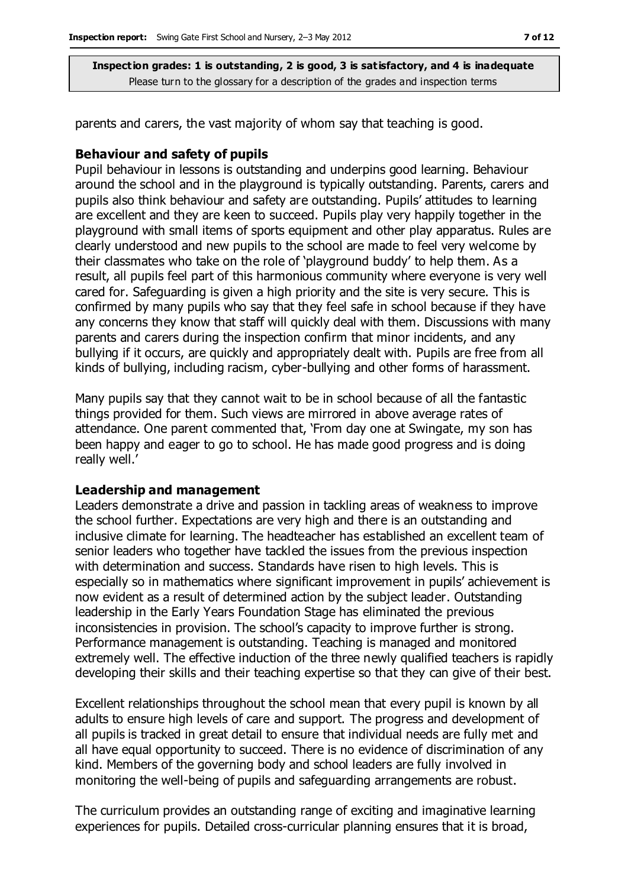parents and carers, the vast majority of whom say that teaching is good.

#### **Behaviour and safety of pupils**

Pupil behaviour in lessons is outstanding and underpins good learning. Behaviour around the school and in the playground is typically outstanding. Parents, carers and pupils also think behaviour and safety are outstanding. Pupils' attitudes to learning are excellent and they are keen to succeed. Pupils play very happily together in the playground with small items of sports equipment and other play apparatus. Rules are clearly understood and new pupils to the school are made to feel very welcome by their classmates who take on the role of 'playground buddy' to help them. As a result, all pupils feel part of this harmonious community where everyone is very well cared for. Safeguarding is given a high priority and the site is very secure. This is confirmed by many pupils who say that they feel safe in school because if they have any concerns they know that staff will quickly deal with them. Discussions with many parents and carers during the inspection confirm that minor incidents, and any bullying if it occurs, are quickly and appropriately dealt with. Pupils are free from all kinds of bullying, including racism, cyber-bullying and other forms of harassment.

Many pupils say that they cannot wait to be in school because of all the fantastic things provided for them. Such views are mirrored in above average rates of attendance. One parent commented that, 'From day one at Swingate, my son has been happy and eager to go to school. He has made good progress and is doing really well.'

#### **Leadership and management**

Leaders demonstrate a drive and passion in tackling areas of weakness to improve the school further. Expectations are very high and there is an outstanding and inclusive climate for learning. The headteacher has established an excellent team of senior leaders who together have tackled the issues from the previous inspection with determination and success. Standards have risen to high levels. This is especially so in mathematics where significant improvement in pupils' achievement is now evident as a result of determined action by the subject leader. Outstanding leadership in the Early Years Foundation Stage has eliminated the previous inconsistencies in provision. The school's capacity to improve further is strong. Performance management is outstanding. Teaching is managed and monitored extremely well. The effective induction of the three newly qualified teachers is rapidly developing their skills and their teaching expertise so that they can give of their best.

Excellent relationships throughout the school mean that every pupil is known by all adults to ensure high levels of care and support. The progress and development of all pupils is tracked in great detail to ensure that individual needs are fully met and all have equal opportunity to succeed. There is no evidence of discrimination of any kind. Members of the governing body and school leaders are fully involved in monitoring the well-being of pupils and safeguarding arrangements are robust.

The curriculum provides an outstanding range of exciting and imaginative learning experiences for pupils. Detailed cross-curricular planning ensures that it is broad,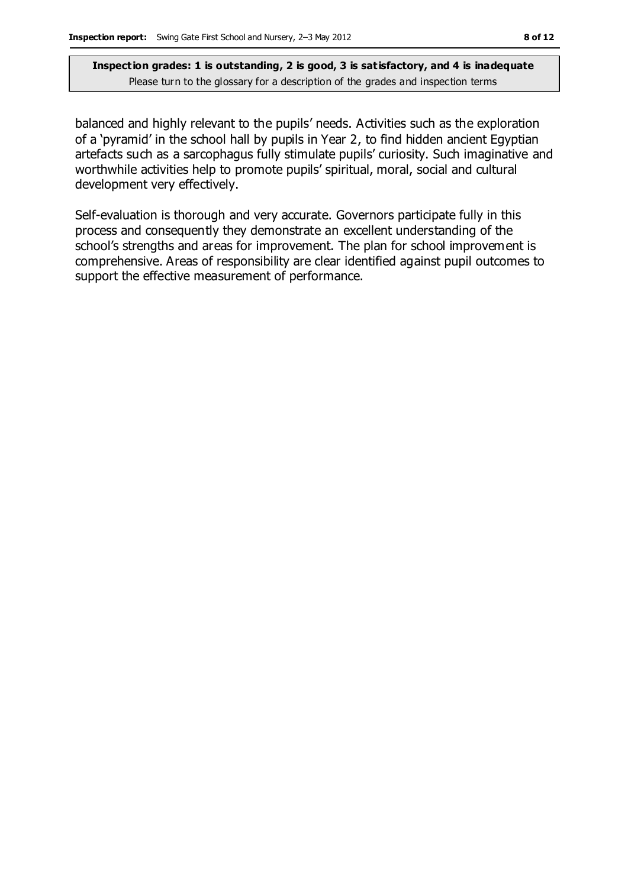balanced and highly relevant to the pupils' needs. Activities such as the exploration of a 'pyramid' in the school hall by pupils in Year 2, to find hidden ancient Egyptian artefacts such as a sarcophagus fully stimulate pupils' curiosity. Such imaginative and worthwhile activities help to promote pupils' spiritual, moral, social and cultural development very effectively.

Self-evaluation is thorough and very accurate. Governors participate fully in this process and consequently they demonstrate an excellent understanding of the school's strengths and areas for improvement. The plan for school improvement is comprehensive. Areas of responsibility are clear identified against pupil outcomes to support the effective measurement of performance.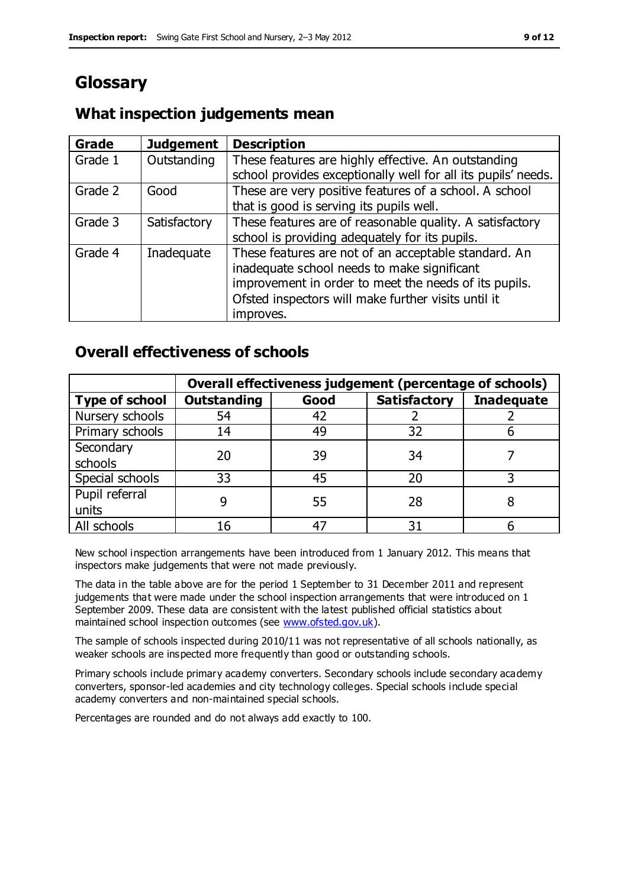# **Glossary**

#### **Grade Judgement Description** Grade  $1$  | Outstanding | These features are highly effective. An outstanding school provides exceptionally well for all its pupils' needs. Grade 2 Good These are very positive features of a school. A school that is good is serving its pupils well. Grade 3  $\parallel$  Satisfactory  $\parallel$  These features are of reasonable quality. A satisfactory school is providing adequately for its pupils. Grade 4  $\parallel$  Inadequate  $\parallel$  These features are not of an acceptable standard. An inadequate school needs to make significant improvement in order to meet the needs of its pupils. Ofsted inspectors will make further visits until it improves.

### **What inspection judgements mean**

### **Overall effectiveness of schools**

|                       | Overall effectiveness judgement (percentage of schools) |      |                     |                   |
|-----------------------|---------------------------------------------------------|------|---------------------|-------------------|
| <b>Type of school</b> | <b>Outstanding</b>                                      | Good | <b>Satisfactory</b> | <b>Inadequate</b> |
| Nursery schools       | 54                                                      | 42   |                     |                   |
| Primary schools       | 14                                                      | 49   | 32                  |                   |
| Secondary             | 20                                                      | 39   | 34                  |                   |
| schools               |                                                         |      |                     |                   |
| Special schools       | 33                                                      | 45   | 20                  |                   |
| Pupil referral        |                                                         | 55   | 28                  |                   |
| units                 |                                                         |      |                     |                   |
| All schools           |                                                         |      | م -                 |                   |

New school inspection arrangements have been introduced from 1 January 2012. This means that inspectors make judgements that were not made previously.

The data in the table above are for the period 1 September to 31 December 2011 and represent judgements that were made under the school inspection arrangements that were introduced on 1 September 2009. These data are consistent with the latest published official statistics about maintained school inspection outcomes (see [www.ofsted.gov.uk\)](http://www.ofsted.gov.uk/).

The sample of schools inspected during 2010/11 was not representative of all schools nationally, as weaker schools are inspected more frequently than good or outstanding schools.

Primary schools include primary academy converters. Secondary schools include secondary academy converters, sponsor-led academies and city technology colleges. Special schools include special academy converters and non-maintained special schools.

Percentages are rounded and do not always add exactly to 100.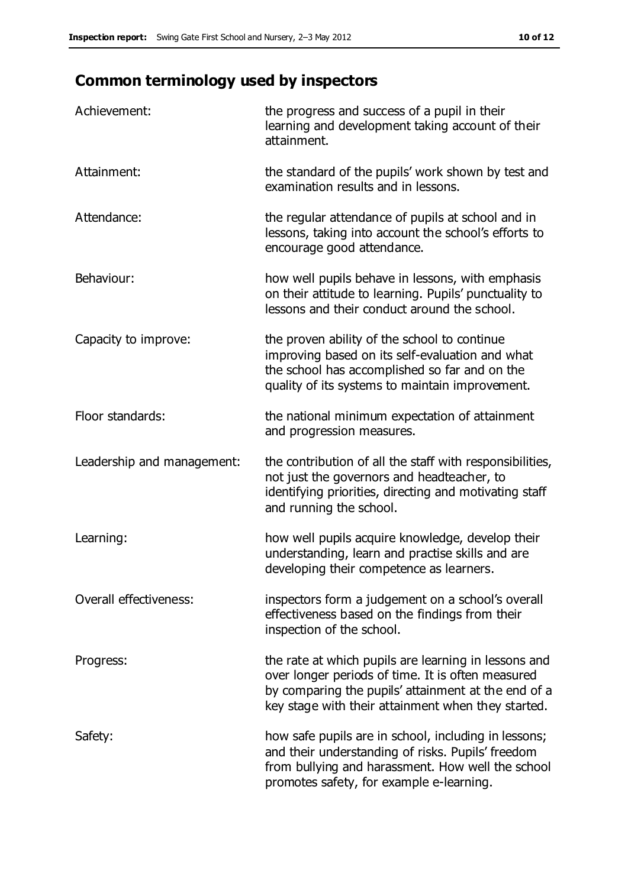# **Common terminology used by inspectors**

| Achievement:               | the progress and success of a pupil in their<br>learning and development taking account of their<br>attainment.                                                                                                        |
|----------------------------|------------------------------------------------------------------------------------------------------------------------------------------------------------------------------------------------------------------------|
| Attainment:                | the standard of the pupils' work shown by test and<br>examination results and in lessons.                                                                                                                              |
| Attendance:                | the regular attendance of pupils at school and in<br>lessons, taking into account the school's efforts to<br>encourage good attendance.                                                                                |
| Behaviour:                 | how well pupils behave in lessons, with emphasis<br>on their attitude to learning. Pupils' punctuality to<br>lessons and their conduct around the school.                                                              |
| Capacity to improve:       | the proven ability of the school to continue<br>improving based on its self-evaluation and what<br>the school has accomplished so far and on the<br>quality of its systems to maintain improvement.                    |
| Floor standards:           | the national minimum expectation of attainment<br>and progression measures.                                                                                                                                            |
| Leadership and management: | the contribution of all the staff with responsibilities,<br>not just the governors and headteacher, to<br>identifying priorities, directing and motivating staff<br>and running the school.                            |
| Learning:                  | how well pupils acquire knowledge, develop their<br>understanding, learn and practise skills and are<br>developing their competence as learners.                                                                       |
| Overall effectiveness:     | inspectors form a judgement on a school's overall<br>effectiveness based on the findings from their<br>inspection of the school.                                                                                       |
| Progress:                  | the rate at which pupils are learning in lessons and<br>over longer periods of time. It is often measured<br>by comparing the pupils' attainment at the end of a<br>key stage with their attainment when they started. |
| Safety:                    | how safe pupils are in school, including in lessons;<br>and their understanding of risks. Pupils' freedom<br>from bullying and harassment. How well the school<br>promotes safety, for example e-learning.             |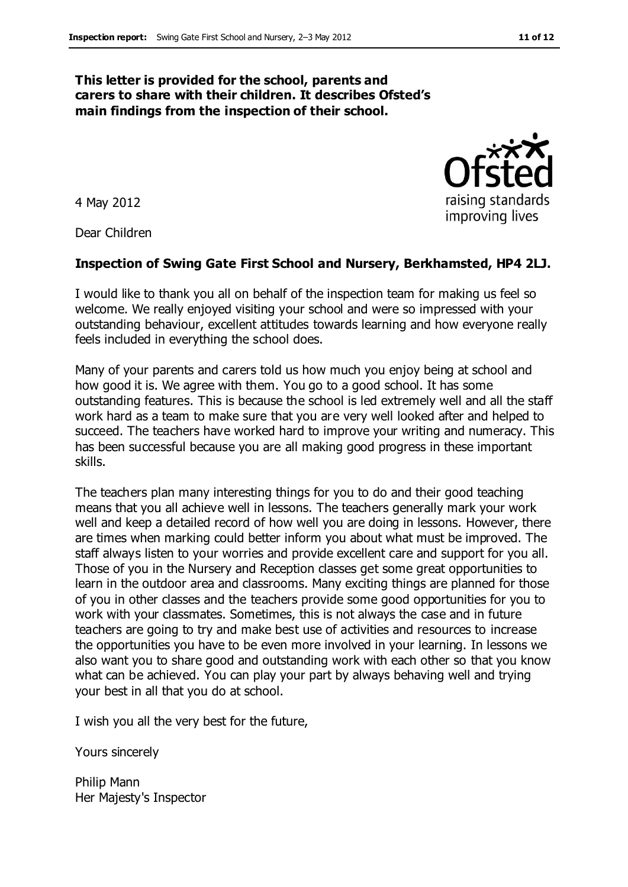#### **This letter is provided for the school, parents and carers to share with their children. It describes Ofsted's main findings from the inspection of their school.**

4 May 2012

Dear Children

#### **Inspection of Swing Gate First School and Nursery, Berkhamsted, HP4 2LJ.**

I would like to thank you all on behalf of the inspection team for making us feel so welcome. We really enjoyed visiting your school and were so impressed with your outstanding behaviour, excellent attitudes towards learning and how everyone really feels included in everything the school does.

Many of your parents and carers told us how much you enjoy being at school and how good it is. We agree with them. You go to a good school. It has some outstanding features. This is because the school is led extremely well and all the staff work hard as a team to make sure that you are very well looked after and helped to succeed. The teachers have worked hard to improve your writing and numeracy. This has been successful because you are all making good progress in these important skills.

The teachers plan many interesting things for you to do and their good teaching means that you all achieve well in lessons. The teachers generally mark your work well and keep a detailed record of how well you are doing in lessons. However, there are times when marking could better inform you about what must be improved. The staff always listen to your worries and provide excellent care and support for you all. Those of you in the Nursery and Reception classes get some great opportunities to learn in the outdoor area and classrooms. Many exciting things are planned for those of you in other classes and the teachers provide some good opportunities for you to work with your classmates. Sometimes, this is not always the case and in future teachers are going to try and make best use of activities and resources to increase the opportunities you have to be even more involved in your learning. In lessons we also want you to share good and outstanding work with each other so that you know what can be achieved. You can play your part by always behaving well and trying your best in all that you do at school.

I wish you all the very best for the future,

Yours sincerely

Philip Mann Her Majesty's Inspector